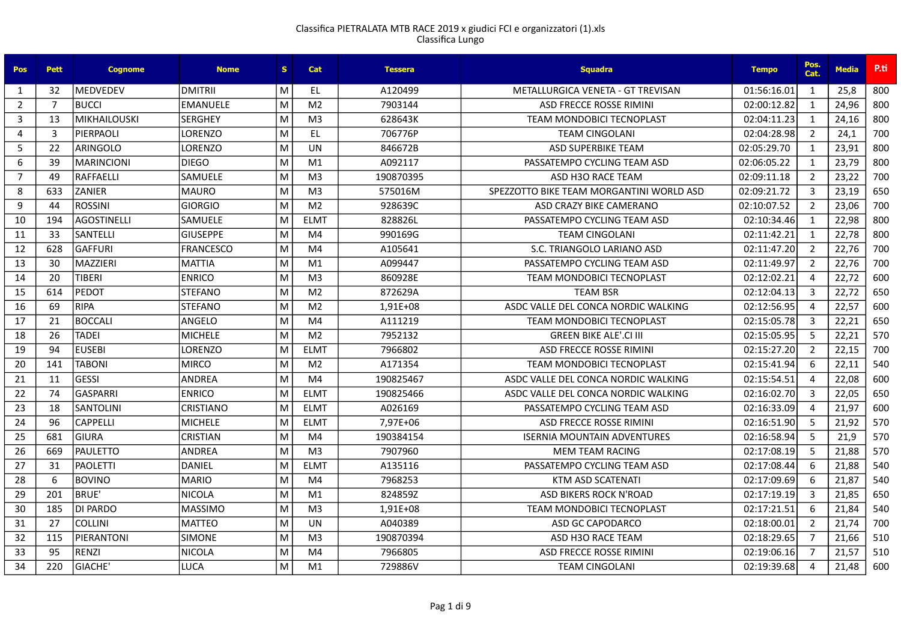| <b>Pos</b>     | <b>Pett</b>    | <b>Cognome</b>      | <b>Nome</b>      | S. | Cat            | Tessera   | <b>Squadra</b>                           | <b>Tempo</b> | Pos.<br>Cat.   | <b>Media</b> | P.ti |
|----------------|----------------|---------------------|------------------|----|----------------|-----------|------------------------------------------|--------------|----------------|--------------|------|
| 1              | 32             | <b>IMEDVEDEV</b>    | <b>DMITRII</b>   | M  | EL             | A120499   | METALLURGICA VENETA - GT TREVISAN        | 01:56:16.01  | $\mathbf{1}$   | 25.8         | 800  |
| $\overline{2}$ | $\overline{7}$ | <b>BUCCI</b>        | <b>EMANUELE</b>  | M  | M <sub>2</sub> | 7903144   | ASD FRECCE ROSSE RIMINI                  | 02:00:12.82  | 1              | 24,96        | 800  |
| 3              | 13             | <b>MIKHAILOUSKI</b> | <b>SERGHEY</b>   | M  | M <sub>3</sub> | 628643K   | <b>TEAM MONDOBICI TECNOPLAST</b>         | 02:04:11.23  | 1              | 24,16        | 800  |
| $\overline{4}$ | 3              | PIERPAOLI           | LORENZO          | M  | EL.            | 706776P   | <b>TEAM CINGOLANI</b>                    | 02:04:28.98  | $\overline{2}$ | 24,1         | 700  |
| 5              | 22             | ARINGOLO            | <b>LORENZO</b>   | M  | UN             | 846672B   | <b>ASD SUPERBIKE TEAM</b>                | 02:05:29.70  | $\mathbf{1}$   | 23,91        | 800  |
| 6              | 39             | <b>MARINCIONI</b>   | <b>DIEGO</b>     | M  | M1             | A092117   | PASSATEMPO CYCLING TEAM ASD              | 02:06:05.22  | $\mathbf{1}$   | 23,79        | 800  |
| $\overline{7}$ | 49             | RAFFAELLI           | <b>SAMUELE</b>   | M  | M <sub>3</sub> | 190870395 | ASD H3O RACE TEAM                        | 02:09:11.18  | $\overline{2}$ | 23,22        | 700  |
| 8              | 633            | <b>ZANIER</b>       | <b>MAURO</b>     | M  | M <sub>3</sub> | 575016M   | SPEZZOTTO BIKE TEAM MORGANTINI WORLD ASD | 02:09:21.72  | $\overline{3}$ | 23,19        | 650  |
| 9              | 44             | <b>ROSSINI</b>      | <b>GIORGIO</b>   | M  | M <sub>2</sub> | 928639C   | ASD CRAZY BIKE CAMERANO                  | 02:10:07.52  | $\overline{2}$ | 23,06        | 700  |
| 10             | 194            | <b>AGOSTINELLI</b>  | <b>SAMUELE</b>   | M  | <b>ELMT</b>    | 828826L   | PASSATEMPO CYCLING TEAM ASD              | 02:10:34.46  | $\mathbf{1}$   | 22,98        | 800  |
| 11             | 33             | <b>SANTELLI</b>     | <b>GIUSEPPE</b>  | M  | M <sub>4</sub> | 990169G   | <b>TEAM CINGOLANI</b>                    | 02:11:42.21  | 1              | 22,78        | 800  |
| 12             | 628            | <b>GAFFURI</b>      | <b>FRANCESCO</b> | M  | M <sub>4</sub> | A105641   | S.C. TRIANGOLO LARIANO ASD               | 02:11:47.20  | $\overline{2}$ | 22,76        | 700  |
| 13             | 30             | MAZZIERI            | <b>MATTIA</b>    | M  | M <sub>1</sub> | A099447   | PASSATEMPO CYCLING TEAM ASD              | 02:11:49.97  | $\overline{2}$ | 22,76        | 700  |
| 14             | 20             | <b>TIBERI</b>       | <b>ENRICO</b>    | M  | M <sub>3</sub> | 860928E   | <b>TEAM MONDOBICI TECNOPLAST</b>         | 02:12:02.21  | $\overline{a}$ | 22,72        | 600  |
| 15             | 614            | <b>PEDOT</b>        | <b>STEFANO</b>   | M  | M <sub>2</sub> | 872629A   | <b>TEAM BSR</b>                          | 02:12:04.13  | $\overline{3}$ | 22,72        | 650  |
| 16             | 69             | RIPA                | <b>STEFANO</b>   | M  | M <sub>2</sub> | 1.91E+08  | ASDC VALLE DEL CONCA NORDIC WALKING      | 02:12:56.95  | $\overline{4}$ | 22,57        | 600  |
| 17             | 21             | <b>BOCCALI</b>      | ANGELO           | M  | M <sub>4</sub> | A111219   | <b>TEAM MONDOBICI TECNOPLAST</b>         | 02:15:05.78  | 3              | 22,21        | 650  |
| 18             | 26             | <b>TADEI</b>        | <b>MICHELE</b>   | M  | M <sub>2</sub> | 7952132   | <b>GREEN BIKE ALE'.CI III</b>            | 02:15:05.95  | 5              | 22,21        | 570  |
| 19             | 94             | <b>EUSEBI</b>       | LORENZO          | M  | <b>ELMT</b>    | 7966802   | ASD FRECCE ROSSE RIMINI                  | 02:15:27.20  | $\overline{2}$ | 22,15        | 700  |
| 20             | 141            | <b>TABONI</b>       | <b>MIRCO</b>     | M  | M <sub>2</sub> | A171354   | <b>TEAM MONDOBICI TECNOPLAST</b>         | 02:15:41.94  | 6              | 22,11        | 540  |
| 21             | 11             | <b>GESSI</b>        | <b>ANDREA</b>    | M  | M4             | 190825467 | ASDC VALLE DEL CONCA NORDIC WALKING      | 02:15:54.51  | $\overline{A}$ | 22,08        | 600  |
| 22             | 74             | GASPARRI            | <b>ENRICO</b>    | M  | <b>ELMT</b>    | 190825466 | ASDC VALLE DEL CONCA NORDIC WALKING      | 02:16:02.70  | $\overline{3}$ | 22,05        | 650  |
| 23             | 18             | <b>SANTOLINI</b>    | <b>CRISTIANO</b> | M  | <b>ELMT</b>    | A026169   | PASSATEMPO CYCLING TEAM ASD              | 02:16:33.09  | $\overline{4}$ | 21.97        | 600  |
| 24             | 96             | <b>CAPPELLI</b>     | <b>MICHELE</b>   | M  | <b>ELMT</b>    | 7.97E+06  | ASD FRECCE ROSSE RIMINI                  | 02:16:51.90  | 5              | 21,92        | 570  |
| 25             | 681            | <b>GIURA</b>        | <b>CRISTIAN</b>  | M  | M4             | 190384154 | <b>ISERNIA MOUNTAIN ADVENTURES</b>       | 02:16:58.94  | 5              | 21,9         | 570  |
| 26             | 669            | <b>PAULETTO</b>     | <b>ANDREA</b>    | M  | M <sub>3</sub> | 7907960   | <b>MEM TEAM RACING</b>                   | 02:17:08.19  | 5              | 21,88        | 570  |
| 27             | 31             | <b>PAOLETTI</b>     | <b>DANIEL</b>    | M  | <b>ELMT</b>    | A135116   | PASSATEMPO CYCLING TEAM ASD              | 02:17:08.44  | 6              | 21,88        | 540  |
| 28             | 6              | <b>BOVINO</b>       | <b>MARIO</b>     | M  | M4             | 7968253   | KTM ASD SCATENATI                        | 02:17:09.69  | 6              | 21,87        | 540  |
| 29             | 201            | BRUE'               | NICOLA           | M  | M1             | 824859Z   | ASD BIKERS ROCK N'ROAD                   | 02:17:19.19  | 3              | 21,85        | 650  |
| 30             | 185            | DI PARDO            | <b>MASSIMO</b>   | M  | M <sub>3</sub> | 1,91E+08  | <b>TEAM MONDOBICI TECNOPLAST</b>         | 02:17:21.51  | 6              | 21,84        | 540  |
| 31             | 27             | <b>COLLINI</b>      | <b>MATTEO</b>    | M  | UN             | A040389   | ASD GC CAPODARCO                         | 02:18:00.01  | $\overline{2}$ | 21,74        | 700  |
| 32             | 115            | PIERANTONI          | <b>SIMONE</b>    | M  | M <sup>3</sup> | 190870394 | ASD H3O RACE TEAM                        | 02:18:29.65  | $\overline{7}$ | 21,66        | 510  |
| 33             | 95             | <b>RENZI</b>        | <b>NICOLA</b>    | M  | M4             | 7966805   | ASD FRECCE ROSSE RIMINI                  | 02:19:06.16  | $\overline{7}$ | 21,57        | 510  |
| 34             | 220            | GIACHE'             | <b>LUCA</b>      | M  | M1             | 729886V   | <b>TEAM CINGOLANI</b>                    | 02:19:39.68  | $\Delta$       | 21,48        | 600  |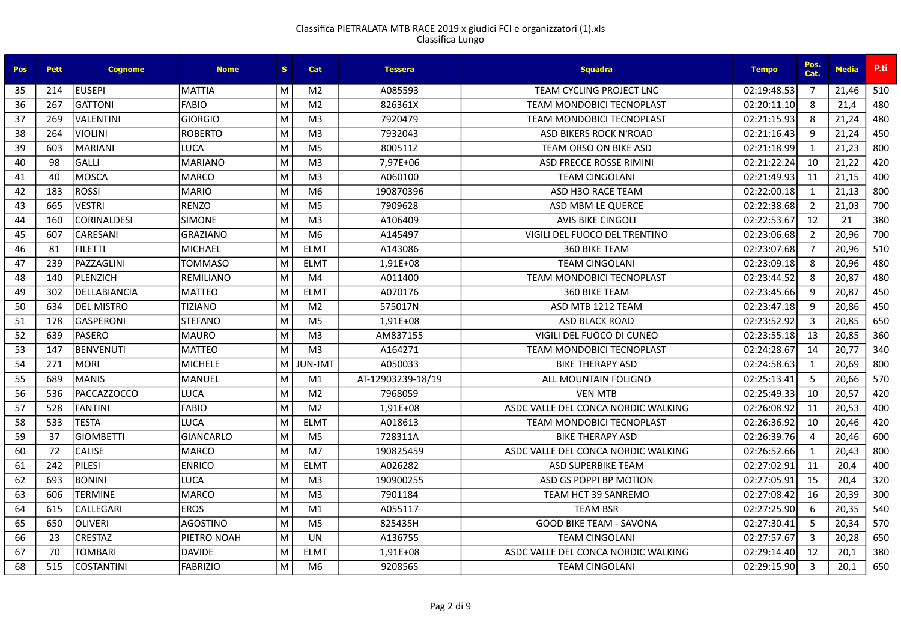| <b>Pos</b> | <b>Pett</b> | <b>Cognome</b>      | <b>Nome</b>      | S. | <b>Cat</b>     | <b>Tessera</b>    | <b>Squadra</b>                      | <b>Tempo</b> | Pos.<br>Cat.   | <b>Media</b> | P.ti |
|------------|-------------|---------------------|------------------|----|----------------|-------------------|-------------------------------------|--------------|----------------|--------------|------|
| 35         | 214         | EUSEPI              | <b>MATTIA</b>    | M  | M <sub>2</sub> | A085593           | TEAM CYCLING PROJECT LNC            | 02:19:48.53  | $\overline{7}$ | 21,46        | 510  |
| 36         | 267         | <b>GATTONI</b>      | FABIO            | M  | M <sub>2</sub> | 826361X           | <b>TEAM MONDOBICI TECNOPLAST</b>    | 02:20:11.10  | 8              | 21,4         | 480  |
| 37         | 269         | <b>VALENTINI</b>    | GIORGIO          | M  | M <sub>3</sub> | 7920479           | <b>TEAM MONDOBICI TECNOPLAST</b>    | 02:21:15.93  | 8              | 21,24        | 480  |
| 38         | 264         | <b>VIOLINI</b>      | <b>ROBERTO</b>   | M  | M <sub>3</sub> | 7932043           | <b>ASD BIKERS ROCK N'ROAD</b>       | 02:21:16.43  | 9              | 21,24        | 450  |
| 39         | 603         | <b>MARIANI</b>      | <b>LUCA</b>      | M  | M <sub>5</sub> | 800511Z           | TEAM ORSO ON BIKE ASD               | 02:21:18.99  | $\mathbf{1}$   | 21,23        | 800  |
| 40         | 98          | <b>GALLI</b>        | <b>MARIANO</b>   | M  | M <sub>3</sub> | 7,97E+06          | ASD FRECCE ROSSE RIMINI             | 02:21:22.24  | 10             | 21,22        | 420  |
| 41         | 40          | MOSCA               | <b>MARCO</b>     | M  | M <sub>3</sub> | A060100           | <b>TEAM CINGOLANI</b>               | 02:21:49.93  | 11             | 21,15        | 400  |
| 42         | 183         | ROSSI               | <b>MARIO</b>     | M  | M <sub>6</sub> | 190870396         | ASD H3O RACE TEAM                   | 02:22:00.18  | $\overline{1}$ | 21,13        | 800  |
| 43         | 665         | <b>VESTRI</b>       | <b>RENZO</b>     | M  | M <sub>5</sub> | 7909628           | ASD MBM LE QUERCE                   | 02:22:38.68  | $\overline{2}$ | 21,03        | 700  |
| 44         | 160         | <b>CORINALDESI</b>  | <b>SIMONE</b>    | M  | M <sub>3</sub> | A106409           | <b>AVIS BIKE CINGOLI</b>            | 02:22:53.67  | 12             | 21           | 380  |
| 45         | 607         | CARESANI            | <b>GRAZIANO</b>  | M  | M <sub>6</sub> | A145497           | VIGILI DEL FUOCO DEL TRENTINO       | 02:23:06.68  | $\overline{2}$ | 20,96        | 700  |
| 46         | 81          | <b>FILETTI</b>      | <b>MICHAEL</b>   | M  | <b>ELMT</b>    | A143086           | 360 BIKE TEAM                       | 02:23:07.68  | $\overline{7}$ | 20,96        | 510  |
| 47         | 239         | PAZZAGLINI          | <b>TOMMASO</b>   | M  | <b>ELMT</b>    | 1,91E+08          | <b>TEAM CINGOLANI</b>               | 02:23:09.18  | 8              | 20,96        | 480  |
| 48         | 140         | PLENZICH            | <b>REMILIANO</b> | M  | M4             | A011400           | <b>TEAM MONDOBICI TECNOPLAST</b>    | 02:23:44.52  | 8              | 20,87        | 480  |
| 49         | 302         | <b>DELLABIANCIA</b> | <b>MATTEO</b>    | M  | <b>ELMT</b>    | A070176           | <b>360 BIKE TEAM</b>                | 02:23:45.66  | q              | 20,87        | 450  |
| 50         | 634         | IDEL MISTRO         | TIZIANO          | M  | M <sub>2</sub> | 575017N           | ASD MTB 1212 TEAM                   | 02:23:47.18  | 9              | 20,86        | 450  |
| 51         | 178         | <b>GASPERONI</b>    | <b>STEFANO</b>   | M  | M <sub>5</sub> | 1.91E+08          | <b>ASD BLACK ROAD</b>               | 02:23:52.92  | $\overline{3}$ | 20,85        | 650  |
| 52         | 639         | <b>PASERO</b>       | <b>MAURO</b>     | M  | M <sub>3</sub> | AM837155          | VIGILI DEL FUOCO DI CUNEO           | 02:23:55.18  | 13             | 20,85        | 360  |
| 53         | 147         | <b>BENVENUTI</b>    | <b>MATTEO</b>    | M  | M <sub>3</sub> | A164271           | <b>TEAM MONDOBICI TECNOPLAST</b>    | 02:24:28.67  | 14             | 20,77        | 340  |
| 54         | 271         | <b>MORI</b>         | <b>MICHELE</b>   | M  | TML-JUL        | A050033           | <b>BIKE THERAPY ASD</b>             | 02:24:58.63  | $\mathbf{1}$   | 20,69        | 800  |
| 55         | 689         | <b>MANIS</b>        | <b>MANUEL</b>    | M  | M <sub>1</sub> | AT-12903239-18/19 | ALL MOUNTAIN FOLIGNO                | 02:25:13.41  | 5              | 20,66        | 570  |
| 56         | 536         | <b>PACCAZZOCCO</b>  | <b>LUCA</b>      | M  | M <sub>2</sub> | 7968059           | <b>VEN MTB</b>                      | 02:25:49.33  | 10             | 20,57        | 420  |
| 57         | 528         | <b>FANTINI</b>      | <b>FABIO</b>     | M  | M <sub>2</sub> | 1.91E+08          | ASDC VALLE DEL CONCA NORDIC WALKING | 02:26:08.92  | 11             | 20,53        | 400  |
| 58         | 533         | <b>TESTA</b>        | <b>LUCA</b>      | M  | <b>ELMT</b>    | A018613           | <b>TEAM MONDOBICI TECNOPLAST</b>    | 02:26:36.92  | 10             | 20,46        | 420  |
| 59         | 37          | <b>GIOMBETTI</b>    | <b>GIANCARLO</b> | M  | M <sub>5</sub> | 728311A           | <b>BIKE THERAPY ASD</b>             | 02:26:39.76  | $\overline{4}$ | 20,46        | 600  |
| 60         | 72          | <b>CALISE</b>       | <b>MARCO</b>     | M  | M7             | 190825459         | ASDC VALLE DEL CONCA NORDIC WALKING | 02:26:52.66  | 1              | 20,43        | 800  |
| 61         | 242         | PILESI              | <b>ENRICO</b>    | M  | <b>ELMT</b>    | A026282           | <b>ASD SUPERBIKE TEAM</b>           | 02:27:02.91  | 11             | 20,4         | 400  |
| 62         | 693         | <b>BONINI</b>       | <b>LUCA</b>      | M  | M <sub>3</sub> | 190900255         | ASD GS POPPI BP MOTION              | 02:27:05.91  | 15             | 20,4         | 320  |
| 63         | 606         | <b>TERMINE</b>      | <b>MARCO</b>     | M  | M <sub>3</sub> | 7901184           | TEAM HCT 39 SANREMO                 | 02:27:08.42  | 16             | 20,39        | 300  |
| 64         | 615         | <b>CALLEGARI</b>    | <b>EROS</b>      | M  | M1             | A055117           | <b>TEAM BSR</b>                     | 02:27:25.90  | 6              | 20,35        | 540  |
| 65         | 650         | <b>OLIVERI</b>      | <b>AGOSTINO</b>  | M  | M <sub>5</sub> | 825435H           | <b>GOOD BIKE TEAM - SAVONA</b>      | 02:27:30.41  | -5             | 20,34        | 570  |
| 66         | 23          | <b>CRESTAZ</b>      | PIETRO NOAH      | M  | UN.            | A136755           | <b>TEAM CINGOLANI</b>               | 02:27:57.67  | 3              | 20,28        | 650  |
| 67         | 70          | <b>TOMBARI</b>      | <b>DAVIDE</b>    | M  | <b>ELMT</b>    | 1,91E+08          | ASDC VALLE DEL CONCA NORDIC WALKING | 02:29:14.40  | 12             | 20,1         | 380  |
| 68         | 515         | <b>COSTANTINI</b>   | <b>FABRIZIO</b>  | M  | M6             | 920856S           | <b>TEAM CINGOLANI</b>               | 02:29:15.90  | $\overline{3}$ | 20,1         | 650  |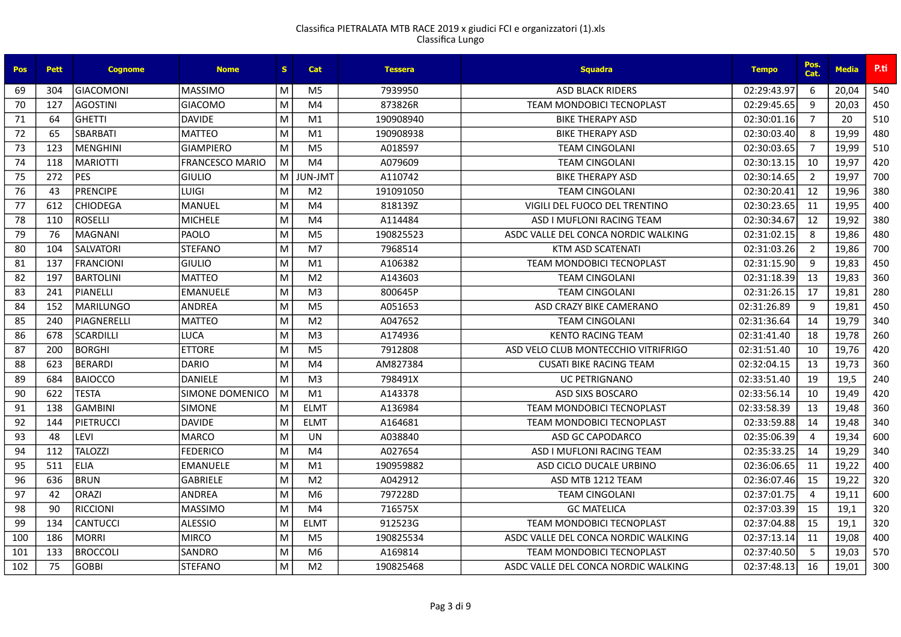| <b>Pos</b> | <b>Pett</b> | <b>Cognome</b>   | <b>Nome</b>            | S. | Cat            | <b>Tessera</b> | <b>Squadra</b>                      | <b>Tempo</b> | Pos.<br>Cat.          | <b>Media</b> | P.ti |
|------------|-------------|------------------|------------------------|----|----------------|----------------|-------------------------------------|--------------|-----------------------|--------------|------|
| 69         | 304         | <b>GIACOMONI</b> | <b>MASSIMO</b>         | M  | M <sub>5</sub> | 7939950        | <b>ASD BLACK RIDERS</b>             | 02:29:43.97  | -6                    | 20,04        | 540  |
| 70         | 127         | <b>AGOSTINI</b>  | <b>GIACOMO</b>         | M  | M4             | 873826R        | <b>TEAM MONDOBICI TECNOPLAST</b>    | 02:29:45.65  | 9                     | 20.03        | 450  |
| 71         | 64          | <b>GHETTI</b>    | <b>DAVIDE</b>          | M  | M1             | 190908940      | <b>BIKE THERAPY ASD</b>             | 02:30:01.16  | $\overline{7}$        | 20           | 510  |
| 72         | 65          | <b>SBARBATI</b>  | <b>MATTEO</b>          | M  | M <sub>1</sub> | 190908938      | <b>BIKE THERAPY ASD</b>             | 02:30:03.40  | 8                     | 19,99        | 480  |
| 73         | 123         | MENGHINI         | <b>GIAMPIERO</b>       | M  | M <sub>5</sub> | A018597        | <b>TEAM CINGOLANI</b>               | 02:30:03.65  | $\overline{7}$        | 19,99        | 510  |
| 74         | 118         | <b>MARIOTTI</b>  | <b>FRANCESCO MARIO</b> | M  | M4             | A079609        | <b>TEAM CINGOLANI</b>               | 02:30:13.15  | 10                    | 19,97        | 420  |
| 75         | 272         | <b>PES</b>       | <b>GIULIO</b>          | м  | TML-JUL        | A110742        | <b>BIKE THERAPY ASD</b>             | 02:30:14.65  | $\overline{2}$        | 19,97        | 700  |
| 76         | 43          | PRENCIPE         | LUIGI                  | M  | M <sub>2</sub> | 191091050      | <b>TEAM CINGOLANI</b>               | 02:30:20.41  | 12                    | 19,96        | 380  |
| 77         | 612         | <b>CHIODEGA</b>  | <b>MANUEL</b>          | M  | M4             | 818139Z        | VIGILI DEL FUOCO DEL TRENTINO       | 02:30:23.65  | 11                    | 19,95        | 400  |
| 78         | 110         | ROSELLI          | <b>MICHELE</b>         | M  | M4             | A114484        | ASD I MUFLONI RACING TEAM           | 02:30:34.67  | 12                    | 19,92        | 380  |
| 79         | 76          | MAGNANI          | PAOLO                  | M  | M <sub>5</sub> | 190825523      | ASDC VALLE DEL CONCA NORDIC WALKING | 02:31:02.15  | 8                     | 19,86        | 480  |
| 80         | 104         | <b>SALVATORI</b> | <b>STEFANO</b>         | M  | M <sub>7</sub> | 7968514        | <b>KTM ASD SCATENATI</b>            | 02:31:03.26  | $\overline{2}$        | 19,86        | 700  |
| 81         | 137         | <b>FRANCIONI</b> | <b>GIULIO</b>          | M  | M1             | A106382        | <b>TEAM MONDOBICI TECNOPLAST</b>    | 02:31:15.90  | 9                     | 19,83        | 450  |
| 82         | 197         | <b>BARTOLINI</b> | <b>MATTEO</b>          | M  | M <sub>2</sub> | A143603        | <b>TEAM CINGOLANI</b>               | 02:31:18.39  | 13                    | 19,83        | 360  |
| 83         | 241         | PIANELLI         | <b>EMANUELE</b>        | M  | M <sub>3</sub> | 800645P        | <b>TEAM CINGOLANI</b>               | 02:31:26.15  | 17                    | 19,81        | 280  |
| 84         | 152         | <b>MARILUNGO</b> | <b>ANDREA</b>          | M  | M <sub>5</sub> | A051653        | ASD CRAZY BIKE CAMERANO             | 02:31:26.89  | 9                     | 19,81        | 450  |
| 85         | 240         | PIAGNERELLI      | <b>MATTEO</b>          | M  | M <sub>2</sub> | A047652        | <b>TEAM CINGOLANI</b>               | 02:31:36.64  | 14                    | 19,79        | 340  |
| 86         | 678         | <b>SCARDILLI</b> | <b>LUCA</b>            | M  | M <sub>3</sub> | A174936        | <b>KENTO RACING TEAM</b>            | 02:31:41.40  | 18                    | 19,78        | 260  |
| 87         | 200         | <b>BORGHI</b>    | <b>ETTORE</b>          | M  | M <sub>5</sub> | 7912808        | ASD VELO CLUB MONTECCHIO VITRIFRIGO | 02:31:51.40  | 10                    | 19,76        | 420  |
| 88         | 623         | <b>BERARDI</b>   | <b>DARIO</b>           | M  | M4             | AM827384       | <b>CUSATI BIKE RACING TEAM</b>      | 02:32:04.15  | 13                    | 19,73        | 360  |
| 89         | 684         | <b>BAIOCCO</b>   | <b>DANIELE</b>         | M  | M <sub>3</sub> | 798491X        | <b>UC PETRIGNANO</b>                | 02:33:51.40  | 19                    | 19,5         | 240  |
| 90         | 622         | <b>TESTA</b>     | SIMONE DOMENICO        | M  | M1             | A143378        | <b>ASD SIXS BOSCARO</b>             | 02:33:56.14  | 10                    | 19,49        | 420  |
| 91         | 138         | <b>GAMBINI</b>   | <b>SIMONE</b>          | M  | <b>ELMT</b>    | A136984        | <b>TEAM MONDOBICI TECNOPLAST</b>    | 02:33:58.39  | 13                    | 19,48        | 360  |
| 92         | 144         | PIETRUCCI        | <b>DAVIDE</b>          | M  | <b>ELMT</b>    | A164681        | <b>TEAM MONDOBICI TECNOPLAST</b>    | 02:33:59.88  | 14                    | 19,48        | 340  |
| 93         | 48          | LEVI             | <b>MARCO</b>           | M  | <b>UN</b>      | A038840        | <b>ASD GC CAPODARCO</b>             | 02:35:06.39  | $\boldsymbol{\Delta}$ | 19,34        | 600  |
| 94         | 112         | TALOZZI          | <b>FEDERICO</b>        | M  | M <sub>4</sub> | A027654        | ASD I MUFLONI RACING TEAM           | 02:35:33.25  | 14                    | 19,29        | 340  |
| 95         | 511         | <b>ELIA</b>      | <b>EMANUELE</b>        | M  | M1             | 190959882      | ASD CICLO DUCALE URBINO             | 02:36:06.65  | 11                    | 19,22        | 400  |
| 96         | 636         | BRUN             | <b>GABRIELE</b>        | M  | M <sub>2</sub> | A042912        | ASD MTB 1212 TEAM                   | 02:36:07.46  | 15                    | 19,22        | 320  |
| 97         | 42          | <b>ORAZI</b>     | <b>ANDREA</b>          | M  | M <sub>6</sub> | 797228D        | <b>TEAM CINGOLANI</b>               | 02:37:01.75  | $\overline{4}$        | 19,11        | 600  |
| 98         | 90          | <b>RICCIONI</b>  | <b>MASSIMO</b>         | M  | M4             | 716575X        | <b>GC MATELICA</b>                  | 02:37:03.39  | 15                    | 19,1         | 320  |
| 99         | 134         | <b>CANTUCCI</b>  | <b>ALESSIO</b>         | M  | <b>ELMT</b>    | 912523G        | <b>TEAM MONDOBICI TECNOPLAST</b>    | 02:37:04.88  | 15                    | 19,1         | 320  |
| 100        | 186         | MORRI            | <b>MIRCO</b>           | M  | M <sub>5</sub> | 190825534      | ASDC VALLE DEL CONCA NORDIC WALKING | 02:37:13.14  | 11                    | 19,08        | 400  |
| 101        | 133         | <b>BROCCOLI</b>  | SANDRO                 | M  | M <sub>6</sub> | A169814        | <b>TEAM MONDOBICI TECNOPLAST</b>    | 02:37:40.50  | -5                    | 19,03        | 570  |
| 102        | 75          | <b>GOBBI</b>     | <b>STEFANO</b>         | M  | M <sub>2</sub> | 190825468      | ASDC VALLE DEL CONCA NORDIC WALKING | 02:37:48.13  | 16                    | 19,01        | 300  |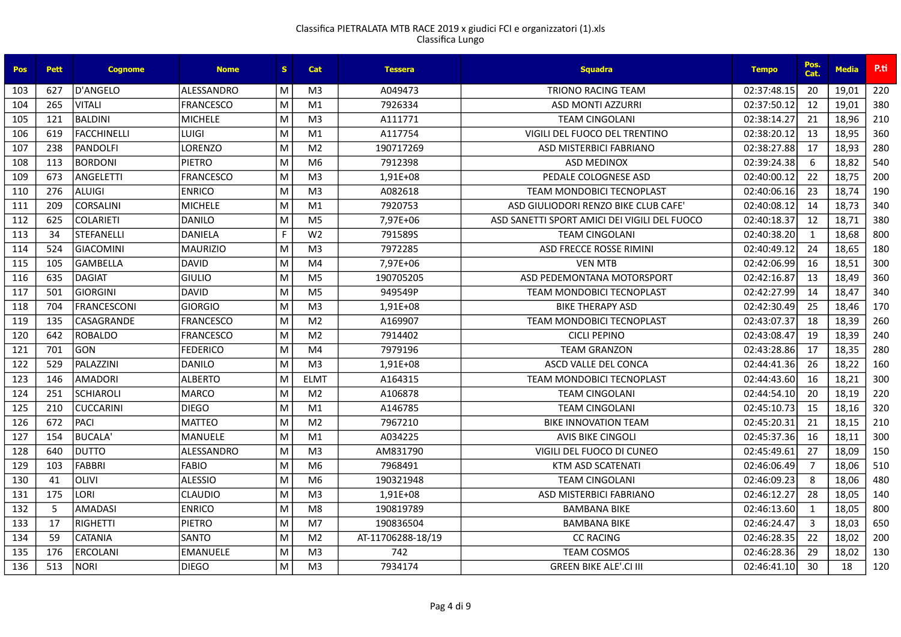| <b>Pos</b> | <b>Pett</b> | <b>Cognome</b>    | <b>Nome</b>       | S. | Cat            | <b>Tessera</b>    | <b>Squadra</b>                               | <b>Tempo</b> | Pos.<br>Cat.   | <b>Media</b> | P.ti |
|------------|-------------|-------------------|-------------------|----|----------------|-------------------|----------------------------------------------|--------------|----------------|--------------|------|
| 103        | 627         | D'ANGELO          | <b>ALESSANDRO</b> | M  | M <sub>3</sub> | A049473           | <b>TRIONO RACING TEAM</b>                    | 02:37:48.15  | 20             | 19,01        | 220  |
| 104        | 265         | VITALI            | <b>FRANCESCO</b>  | M  | M1             | 7926334           | <b>ASD MONTI AZZURRI</b>                     | 02:37:50.12  | 12             | 19,01        | 380  |
| 105        | 121         | BALDINI           | <b>MICHELE</b>    | M  | M <sub>3</sub> | A111771           | <b>TEAM CINGOLANI</b>                        | 02:38:14.27  | 21             | 18,96        | 210  |
| 106        | 619         | FACCHINELLI       | <b>LUIGI</b>      | M  | M1             | A117754           | VIGILI DEL FUOCO DEL TRENTINO                | 02:38:20.12  | 13             | 18,95        | 360  |
| 107        | 238         | PANDOLFI          | <b>LORENZO</b>    | M  | M <sub>2</sub> | 190717269         | ASD MISTERBICI FABRIANO                      | 02:38:27.88  | 17             | 18,93        | 280  |
| 108        | 113         | <b>BORDONI</b>    | <b>PIETRO</b>     | M  | M <sub>6</sub> | 7912398           | <b>ASD MEDINOX</b>                           | 02:39:24.38  | 6              | 18,82        | 540  |
| 109        | 673         | ANGELETTI         | <b>FRANCESCO</b>  | M  | M <sub>3</sub> | 1,91E+08          | PEDALE COLOGNESE ASD                         | 02:40:00.12  | 22             | 18,75        | 200  |
| 110        | 276         | ALUIGI            | <b>ENRICO</b>     | M  | M <sub>3</sub> | A082618           | <b>TEAM MONDOBICI TECNOPLAST</b>             | 02:40:06.16  | 23             | 18,74        | 190  |
| 111        | 209         | <b>CORSALINI</b>  | <b>MICHELE</b>    | M  | M1             | 7920753           | ASD GIULIODORI RENZO BIKE CLUB CAFE'         | 02:40:08.12  | 14             | 18,73        | 340  |
| 112        | 625         | <b>COLARIETI</b>  | <b>DANILO</b>     | M  | M <sub>5</sub> | 7,97E+06          | ASD SANETTI SPORT AMICI DEI VIGILI DEL FUOCO | 02:40:18.37  | 12             | 18,71        | 380  |
| 113        | 34          | STEFANELLI        | <b>DANIELA</b>    | F. | W <sub>2</sub> | 791589S           | <b>TEAM CINGOLANI</b>                        | 02:40:38.20  | $\mathbf{1}$   | 18,68        | 800  |
| 114        | 524         | <b>GIACOMINI</b>  | <b>MAURIZIO</b>   | M  | M <sub>3</sub> | 7972285           | <b>ASD FRECCE ROSSE RIMINI</b>               | 02:40:49.12  | 24             | 18,65        | 180  |
| 115        | 105         | GAMBELLA          | <b>DAVID</b>      | M  | M4             | 7,97E+06          | <b>VEN MTB</b>                               | 02:42:06.99  | 16             | 18,51        | 300  |
| 116        | 635         | DAGIAT            | <b>GIULIO</b>     | M  | M <sub>5</sub> | 190705205         | ASD PEDEMONTANA MOTORSPORT                   | 02:42:16.87  | 13             | 18,49        | 360  |
| 117        | 501         | <b>GIORGINI</b>   | <b>DAVID</b>      | M  | M <sub>5</sub> | 949549P           | <b>TEAM MONDOBICI TECNOPLAST</b>             | 02:42:27.99  | 14             | 18,47        | 340  |
| 118        | 704         | FRANCESCONI       | <b>GIORGIO</b>    | M  | M <sub>3</sub> | 1.91E+08          | <b>BIKE THERAPY ASD</b>                      | 02:42:30.49  | 25             | 18,46        | 170  |
| 119        | 135         | <b>CASAGRANDE</b> | <b>FRANCESCO</b>  | M  | M <sub>2</sub> | A169907           | TEAM MONDOBICI TECNOPLAST                    | 02:43:07.37  | 18             | 18,39        | 260  |
| 120        | 642         | <b>ROBALDO</b>    | <b>FRANCESCO</b>  | M  | M <sub>2</sub> | 7914402           | <b>CICLI PEPINO</b>                          | 02:43:08.47  | 19             | 18,39        | 240  |
| 121        | 701         | GON               | <b>FEDERICO</b>   | M  | M <sub>4</sub> | 7979196           | <b>TEAM GRANZON</b>                          | 02:43:28.86  | 17             | 18,35        | 280  |
| 122        | 529         | PALAZZINI         | <b>DANILO</b>     | M  | M <sub>3</sub> | 1,91E+08          | ASCD VALLE DEL CONCA                         | 02:44:41.36  | 26             | 18,22        | 160  |
| 123        | 146         | <b>AMADORI</b>    | <b>ALBERTO</b>    | M  | <b>ELMT</b>    | A164315           | <b>TEAM MONDOBICI TECNOPLAST</b>             | 02:44:43.60  | 16             | 18,21        | 300  |
| 124        | 251         | SCHIAROLI         | <b>MARCO</b>      | M  | M <sub>2</sub> | A106878           | <b>TEAM CINGOLANI</b>                        | 02:44:54.10  | 20             | 18,19        | 220  |
| 125        | 210         | <b>CUCCARINI</b>  | <b>DIEGO</b>      | M  | M1             | A146785           | <b>TEAM CINGOLANI</b>                        | 02:45:10.73  | 15             | 18,16        | 320  |
| 126        | 672         | PACI              | <b>MATTEO</b>     | M  | M <sub>2</sub> | 7967210           | <b>BIKE INNOVATION TEAM</b>                  | 02:45:20.31  | 21             | 18,15        | 210  |
| 127        | 154         | BUCALA'           | <b>MANUELE</b>    | M  | M1             | A034225           | <b>AVIS BIKE CINGOLI</b>                     | 02:45:37.36  | 16             | 18,11        | 300  |
| 128        | 640         | <b>DUTTO</b>      | ALESSANDRO        | M  | M <sub>3</sub> | AM831790          | VIGILI DEL FUOCO DI CUNEO                    | 02:45:49.61  | 27             | 18,09        | 150  |
| 129        | 103         | FABBRI            | <b>FABIO</b>      | M  | M <sub>6</sub> | 7968491           | <b>KTM ASD SCATENATI</b>                     | 02:46:06.49  | $\overline{7}$ | 18,06        | 510  |
| 130        | 41          | <b>OLIVI</b>      | <b>ALESSIO</b>    | M  | M <sub>6</sub> | 190321948         | <b>TEAM CINGOLANI</b>                        | 02:46:09.23  | 8              | 18,06        | 480  |
| 131        | 175         | LORI              | <b>CLAUDIO</b>    | M  | M <sub>3</sub> | 1,91E+08          | ASD MISTERBICI FABRIANO                      | 02:46:12.27  | 28             | 18,05        | 140  |
| 132        | 5           | AMADASI           | <b>ENRICO</b>     | M  | M8             | 190819789         | <b>BAMBANA BIKE</b>                          | 02:46:13.60  | $\mathbf{1}$   | 18,05        | 800  |
| 133        | 17          | RIGHETTI          | <b>PIETRO</b>     | M  | M <sub>7</sub> | 190836504         | <b>BAMBANA BIKE</b>                          | 02:46:24.47  | $\overline{3}$ | 18,03        | 650  |
| 134        | 59          | <b>CATANIA</b>    | <b>SANTO</b>      | M  | M <sub>2</sub> | AT-11706288-18/19 | <b>CC RACING</b>                             | 02:46:28.35  | 22             | 18,02        | 200  |
| 135        | 176         | <b>ERCOLANI</b>   | <b>EMANUELE</b>   | M  | M <sub>3</sub> | 742               | <b>TEAM COSMOS</b>                           | 02:46:28.36  | 29             | 18,02        | 130  |
| 136        | 513         | NORI              | <b>DIEGO</b>      | M  | M <sub>3</sub> | 7934174           | <b>GREEN BIKE ALE'.CI III</b>                | 02:46:41.10  | 30             | 18           | 120  |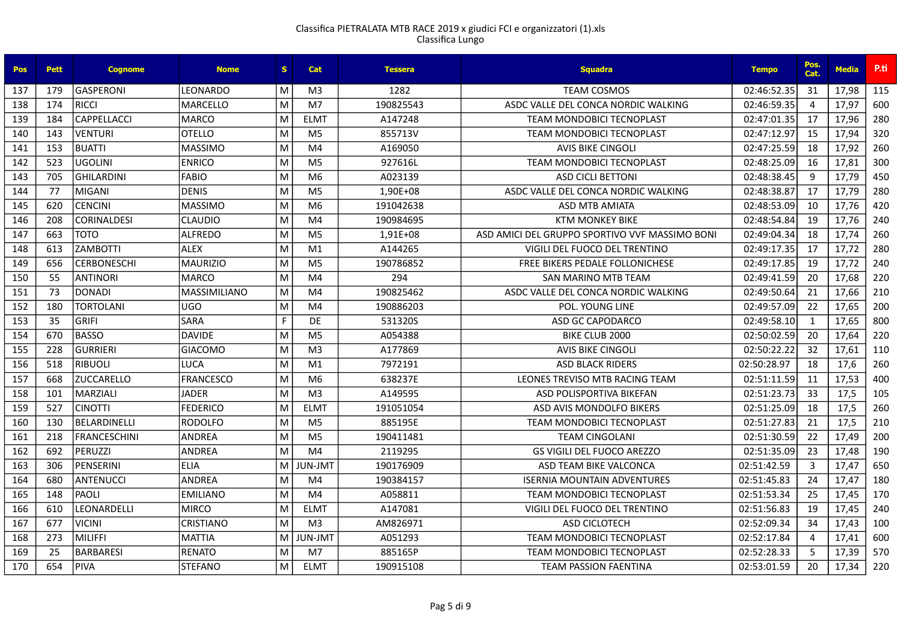| Pos | <b>Pett</b> | <b>Cognome</b>      | <b>Nome</b>      | S. | <b>Cat</b>      | <b>Tessera</b> | <b>Squadra</b>                                 | <b>Tempo</b> | Pos.<br>Cat.   | <b>Media</b> | P.ti |
|-----|-------------|---------------------|------------------|----|-----------------|----------------|------------------------------------------------|--------------|----------------|--------------|------|
| 137 | 179         | <b>GASPERONI</b>    | LEONARDO         | M  | M <sub>3</sub>  | 1282           | <b>TEAM COSMOS</b>                             | 02:46:52.35  | -31            | 17,98        | 115  |
| 138 | 174         | <b>RICCI</b>        | <b>MARCELLO</b>  | M  | M <sub>7</sub>  | 190825543      | ASDC VALLE DEL CONCA NORDIC WALKING            | 02:46:59.35  | $\overline{a}$ | 17,97        | 600  |
| 139 | 184         | CAPPELLACCI         | <b>MARCO</b>     | M  | <b>ELMT</b>     | A147248        | <b>TEAM MONDOBICI TECNOPLAST</b>               | 02:47:01.35  | 17             | 17,96        | 280  |
| 140 | 143         | VENTURI             | <b>OTELLO</b>    | M  | M <sub>5</sub>  | 855713V        | <b>TEAM MONDOBICI TECNOPLAST</b>               | 02:47:12.97  | 15             | 17,94        | 320  |
| 141 | 153         | <b>BUATTI</b>       | <b>MASSIMO</b>   | M  | M4              | A169050        | <b>AVIS BIKE CINGOLI</b>                       | 02:47:25.59  | 18             | 17,92        | 260  |
| 142 | 523         | <b>UGOLINI</b>      | <b>ENRICO</b>    | M  | M <sub>5</sub>  | 927616L        | <b>TEAM MONDOBICI TECNOPLAST</b>               | 02:48:25.09  | 16             | 17.81        | 300  |
| 143 | 705         | GHILARDINI          | <b>FABIO</b>     | M  | M <sub>6</sub>  | A023139        | <b>ASD CICLI BETTONI</b>                       | 02:48:38.45  | 9              | 17,79        | 450  |
| 144 | 77          | <b>MIGANI</b>       | <b>DENIS</b>     | M  | M <sub>5</sub>  | 1.90E+08       | ASDC VALLE DEL CONCA NORDIC WALKING            | 02:48:38.87  | 17             | 17,79        | 280  |
| 145 | 620         | <b>CENCINI</b>      | <b>MASSIMO</b>   | M  | M <sub>6</sub>  | 191042638      | <b>ASD MTB AMIATA</b>                          | 02:48:53.09  | 10             | 17,76        | 420  |
| 146 | 208         | <b>CORINALDESI</b>  | <b>CLAUDIO</b>   | M  | M4              | 190984695      | <b>KTM MONKEY BIKE</b>                         | 02:48:54.84  | 19             | 17,76        | 240  |
| 147 | 663         | TOTO                | <b>ALFREDO</b>   | M  | M <sub>5</sub>  | 1,91E+08       | ASD AMICI DEL GRUPPO SPORTIVO VVF MASSIMO BONI | 02:49:04.34  | 18             | 17,74        | 260  |
| 148 | 613         | <b>ZAMBOTTI</b>     | <b>ALEX</b>      | M  | M <sub>1</sub>  | A144265        | VIGILI DEL FUOCO DEL TRENTINO                  | 02:49:17.35  | 17             | 17,72        | 280  |
| 149 | 656         | <b>CERBONESCHI</b>  | <b>MAURIZIO</b>  | M  | M <sub>5</sub>  | 190786852      | <b>FREE BIKERS PEDALE FOLLONICHESE</b>         | 02:49:17.85  | 19             | 17,72        | 240  |
| 150 | 55          | ANTINORI            | <b>MARCO</b>     | M  | M4              | 294            | SAN MARINO MTB TEAM                            | 02:49:41.59  | -20            | 17,68        | 220  |
| 151 | 73          | DONADI              | MASSIMILIANO     | M  | M4              | 190825462      | ASDC VALLE DEL CONCA NORDIC WALKING            | 02:49:50.64  | 21             | 17,66        | 210  |
| 152 | 180         | <b>TORTOLANI</b>    | <b>UGO</b>       | M  | M4              | 190886203      | POL. YOUNG LINE                                | 02:49:57.09  | 22             | 17,65        | 200  |
| 153 | 35          | <b>GRIFI</b>        | <b>SARA</b>      | F  | DE              | 531320S        | ASD GC CAPODARCO                               | 02:49:58.10  | $\mathbf{1}$   | 17,65        | 800  |
| 154 | 670         | BASSO               | <b>DAVIDE</b>    | M  | M <sub>5</sub>  | A054388        | BIKE CLUB 2000                                 | 02:50:02.59  | 20             | 17,64        | 220  |
| 155 | 228         | <b>GURRIERI</b>     | <b>GIACOMO</b>   | M  | M <sub>3</sub>  | A177869        | <b>AVIS BIKE CINGOLI</b>                       | 02:50:22.22  | 32             | 17.61        | 110  |
| 156 | 518         | <b>RIBUOLI</b>      | <b>LUCA</b>      | M  | M <sub>1</sub>  | 7972191        | <b>ASD BLACK RIDERS</b>                        | 02:50:28.97  | 18             | 17,6         | 260  |
| 157 | 668         | <b>ZUCCARELLO</b>   | <b>FRANCESCO</b> | M  | M6              | 638237E        | LEONES TREVISO MTB RACING TEAM                 | 02:51:11.59  | 11             | 17,53        | 400  |
| 158 | 101         | MARZIALI            | <b>JADER</b>     | M  | M <sub>3</sub>  | A149595        | ASD POLISPORTIVA BIKEFAN                       | 02:51:23.73  | 33             | 17,5         | 105  |
| 159 | 527         | <b>CINOTTI</b>      | <b>FEDERICO</b>  | M  | <b>ELMT</b>     | 191051054      | ASD AVIS MONDOLFO BIKERS                       | 02:51:25.09  | 18             | 17,5         | 260  |
| 160 | 130         | BELARDINELLI        | <b>RODOLFO</b>   | M  | M <sub>5</sub>  | 885195E        | <b>TEAM MONDOBICI TECNOPLAST</b>               | 02:51:27.83  | 21             | 17,5         | 210  |
| 161 | 218         | <b>FRANCESCHINI</b> | <b>ANDREA</b>    | M  | M <sub>5</sub>  | 190411481      | <b>TEAM CINGOLANI</b>                          | 02:51:30.59  | 22             | 17,49        | 200  |
| 162 | 692         | <b>PERUZZI</b>      | <b>ANDREA</b>    | M  | M4              | 2119295        | <b>GS VIGILI DEL FUOCO AREZZO</b>              | 02:51:35.09  | 23             | 17,48        | 190  |
| 163 | 306         | PENSERINI           | <b>ELIA</b>      | M  | <b>TML-JULI</b> | 190176909      | ASD TEAM BIKE VALCONCA                         | 02:51:42.59  | 3              | 17,47        | 650  |
| 164 | 680         | <b>ANTENUCCI</b>    | <b>ANDREA</b>    | M  | M4              | 190384157      | <b>ISERNIA MOUNTAIN ADVENTURES</b>             | 02:51:45.83  | 24             | 17,47        | 180  |
| 165 | 148         | PAOLI               | <b>EMILIANO</b>  | M  | M4              | A058811        | <b>TEAM MONDOBICI TECNOPLAST</b>               | 02:51:53.34  | 25             | 17,45        | 170  |
| 166 | 610         | LEONARDELLI         | <b>MIRCO</b>     | M  | <b>ELMT</b>     | A147081        | VIGILI DEL FUOCO DEL TRENTINO                  | 02:51:56.83  | 19             | 17,45        | 240  |
| 167 | 677         | <b>VICINI</b>       | CRISTIANO        | M  | M <sub>3</sub>  | AM826971       | ASD CICLOTECH                                  | 02:52:09.34  | 34             | 17,43        | 100  |
| 168 | 273         | <b>MILIFFI</b>      | <b>MATTIA</b>    | M  | <b>TML-JULI</b> | A051293        | <b>TEAM MONDOBICI TECNOPLAST</b>               | 02:52:17.84  | $\overline{4}$ | 17,41        | 600  |
| 169 | 25          | <b>BARBARESI</b>    | <b>RENATO</b>    | M  | M7              | 885165P        | <b>TEAM MONDOBICI TECNOPLAST</b>               | 02:52:28.33  | .5             | 17,39        | 570  |
| 170 | 654         | PIVA                | <b>STEFANO</b>   | M  | <b>ELMT</b>     | 190915108      | <b>TEAM PASSION FAENTINA</b>                   | 02:53:01.59  | 20             | 17,34        | 220  |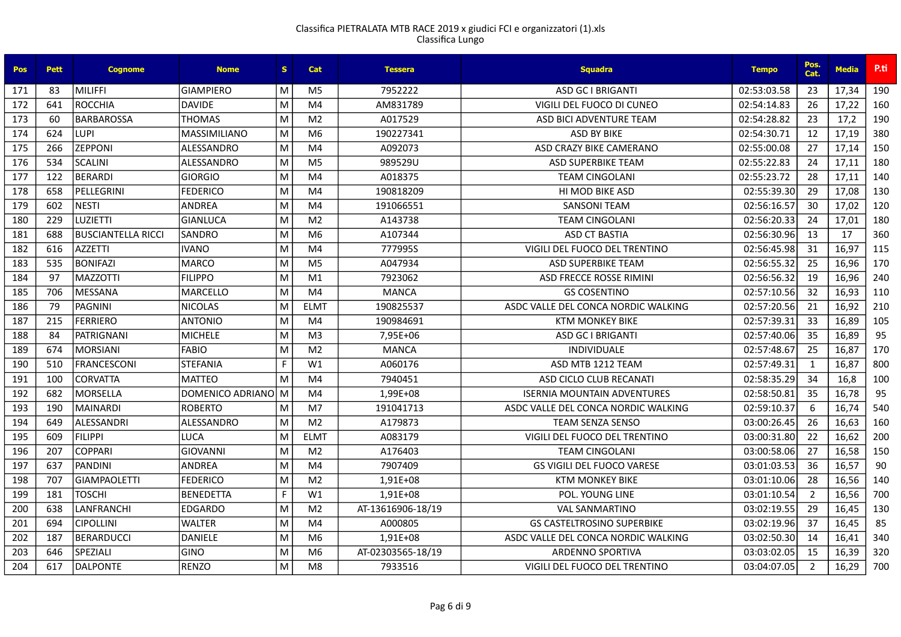| Pos | <b>Pett</b> | <b>Cognome</b>            | <b>Nome</b>         | S. | <b>Cat</b>     | <b>Tessera</b>    | <b>Squadra</b>                      | <b>Tempo</b> | Pos.<br>Cat.   | <b>Media</b> | P.ti |
|-----|-------------|---------------------------|---------------------|----|----------------|-------------------|-------------------------------------|--------------|----------------|--------------|------|
| 171 | 83          | MILIFFI                   | <b>GIAMPIERO</b>    | M  | M <sub>5</sub> | 7952222           | <b>ASD GC I BRIGANTI</b>            | 02:53:03.58  | 23             | 17,34        | 190  |
| 172 | 641         | ROCCHIA                   | <b>DAVIDE</b>       | M  | M <sub>4</sub> | AM831789          | VIGILI DEL FUOCO DI CUNEO           | 02:54:14.83  | 26             | 17,22        | 160  |
| 173 | 60          | <b>BARBAROSSA</b>         | <b>THOMAS</b>       | M  | M <sub>2</sub> | A017529           | ASD BICI ADVENTURE TEAM             | 02:54:28.82  | 23             | 17,2         | 190  |
| 174 | 624         | <b>LUPI</b>               | <b>MASSIMILIANO</b> | M  | M <sub>6</sub> | 190227341         | <b>ASD BY BIKE</b>                  | 02:54:30.71  | 12             | 17,19        | 380  |
| 175 | 266         | <b>ZEPPONI</b>            | ALESSANDRO          | M  | M4             | A092073           | ASD CRAZY BIKE CAMERANO             | 02:55:00.08  | 27             | 17,14        | 150  |
| 176 | 534         | <b>SCALINI</b>            | ALESSANDRO          | M  | M <sub>5</sub> | 989529U           | <b>ASD SUPERBIKE TEAM</b>           | 02:55:22.83  | 24             | 17,11        | 180  |
| 177 | 122         | <b>BERARDI</b>            | <b>GIORGIO</b>      | M  | M <sub>4</sub> | A018375           | <b>TEAM CINGOLANI</b>               | 02:55:23.72  | 28             | 17,11        | 140  |
| 178 | 658         | PELLEGRINI                | <b>FEDERICO</b>     | M  | M4             | 190818209         | <b>HI MOD BIKE ASD</b>              | 02:55:39.30  | 29             | 17,08        | 130  |
| 179 | 602         | <b>NESTI</b>              | <b>ANDREA</b>       | M  | M <sub>4</sub> | 191066551         | <b>SANSONI TEAM</b>                 | 02:56:16.57  | 30             | 17,02        | 120  |
| 180 | 229         | LUZIETTI                  | <b>GIANLUCA</b>     | M  | M <sub>2</sub> | A143738           | <b>TEAM CINGOLANI</b>               | 02:56:20.33  | 24             | 17,01        | 180  |
| 181 | 688         | <b>BUSCIANTELLA RICCI</b> | <b>SANDRO</b>       | M  | M <sub>6</sub> | A107344           | <b>ASD CT BASTIA</b>                | 02:56:30.96  | 13             | 17           | 360  |
| 182 | 616         | <b>AZZETTI</b>            | <b>IVANO</b>        | M  | M4             | 777995S           | VIGILI DEL FUOCO DEL TRENTINO       | 02:56:45.98  | 31             | 16,97        | 115  |
| 183 | 535         | <b>BONIFAZI</b>           | <b>MARCO</b>        | M  | M <sub>5</sub> | A047934           | <b>ASD SUPERBIKE TEAM</b>           | 02:56:55.32  | 25             | 16,96        | 170  |
| 184 | 97          | <b>MAZZOTTI</b>           | <b>FILIPPO</b>      | M  | M <sub>1</sub> | 7923062           | ASD FRECCE ROSSE RIMINI             | 02:56:56.32  | 19             | 16,96        | 240  |
| 185 | 706         | <b>MESSANA</b>            | <b>MARCELLO</b>     | M  | M4             | <b>MANCA</b>      | <b>GS COSENTINO</b>                 | 02:57:10.56  | 32             | 16,93        | 110  |
| 186 | 79          | PAGNINI                   | <b>NICOLAS</b>      | M  | <b>ELMT</b>    | 190825537         | ASDC VALLE DEL CONCA NORDIC WALKING | 02:57:20.56  | 21             | 16,92        | 210  |
| 187 | 215         | <b>FERRIERO</b>           | <b>ANTONIO</b>      | M  | M4             | 190984691         | <b>KTM MONKEY BIKE</b>              | 02:57:39.31  | 33             | 16,89        | 105  |
| 188 | 84          | <b>PATRIGNANI</b>         | <b>MICHELE</b>      | M  | M <sub>3</sub> | 7,95E+06          | <b>ASD GC I BRIGANTI</b>            | 02:57:40.06  | 35             | 16,89        | 95   |
| 189 | 674         | <b>MORSIANI</b>           | <b>FABIO</b>        | M  | M <sub>2</sub> | <b>MANCA</b>      | <b>INDIVIDUALE</b>                  | 02:57:48.67  | 25             | 16,87        | 170  |
| 190 | 510         | <b>FRANCESCONI</b>        | <b>STEFANIA</b>     | F  | W1             | A060176           | ASD MTB 1212 TEAM                   | 02:57:49.31  | $\mathbf{1}$   | 16,87        | 800  |
| 191 | 100         | <b>CORVATTA</b>           | <b>MATTEO</b>       | M  | M4             | 7940451           | ASD CICLO CLUB RECANATI             | 02:58:35.29  | 34             | 16,8         | 100  |
| 192 | 682         | <b>MORSELLA</b>           | DOMENICO ADRIANO    | M  | M <sub>4</sub> | 1,99E+08          | <b>ISERNIA MOUNTAIN ADVENTURES</b>  | 02:58:50.81  | 35             | 16,78        | 95   |
| 193 | 190         | <b>MAINARDI</b>           | <b>ROBERTO</b>      | M  | M7             | 191041713         | ASDC VALLE DEL CONCA NORDIC WALKING | 02:59:10.37  | 6              | 16,74        | 540  |
| 194 | 649         | ALESSANDRI                | <b>ALESSANDRO</b>   | M  | M <sub>2</sub> | A179873           | <b>TEAM SENZA SENSO</b>             | 03:00:26.45  | -26            | 16,63        | 160  |
| 195 | 609         | FILIPPI                   | <b>LUCA</b>         | M  | <b>ELMT</b>    | A083179           | VIGILI DEL FUOCO DEL TRENTINO       | 03:00:31.80  | 22             | 16,62        | 200  |
| 196 | 207         | <b>COPPARI</b>            | <b>GIOVANNI</b>     | M  | M <sub>2</sub> | A176403           | <b>TEAM CINGOLANI</b>               | 03:00:58.06  | 27             | 16,58        | 150  |
| 197 | 637         | <b>PANDINI</b>            | <b>ANDREA</b>       | M  | M <sub>4</sub> | 7907409           | <b>GS VIGILI DEL FUOCO VARESE</b>   | 03:01:03.53  | 36             | 16,57        | 90   |
| 198 | 707         | <b>GIAMPAOLETTI</b>       | <b>FEDERICO</b>     | M  | M <sub>2</sub> | 1,91E+08          | <b>KTM MONKEY BIKE</b>              | 03:01:10.06  | 28             | 16,56        | 140  |
| 199 | 181         | <b>TOSCHI</b>             | <b>BENEDETTA</b>    | F  | W1             | 1,91E+08          | POL. YOUNG LINE                     | 03:01:10.54  | $\overline{2}$ | 16,56        | 700  |
| 200 | 638         | LANFRANCHI                | <b>EDGARDO</b>      | M  | M <sub>2</sub> | AT-13616906-18/19 | <b>VAL SANMARTINO</b>               | 03:02:19.55  | 29             | 16,45        | 130  |
| 201 | 694         | <b>CIPOLLINI</b>          | <b>WALTER</b>       | M  | M4             | A000805           | <b>GS CASTELTROSINO SUPERBIKE</b>   | 03:02:19.96  | 37             | 16,45        | 85   |
| 202 | 187         | <b>BERARDUCCI</b>         | <b>DANIELE</b>      | M  | M6             | 1,91E+08          | ASDC VALLE DEL CONCA NORDIC WALKING | 03:02:50.30  | 14             | 16,41        | 340  |
| 203 | 646         | <b>SPEZIALI</b>           | <b>GINO</b>         | M  | M <sub>6</sub> | AT-02303565-18/19 | <b>ARDENNO SPORTIVA</b>             | 03:03:02.05  | 15             | 16,39        | 320  |
| 204 | 617         | <b>DALPONTE</b>           | <b>RENZO</b>        | M  | M <sub>8</sub> | 7933516           | VIGILI DEL FUOCO DEL TRENTINO       | 03:04:07.05  | 2              | 16,29        | 700  |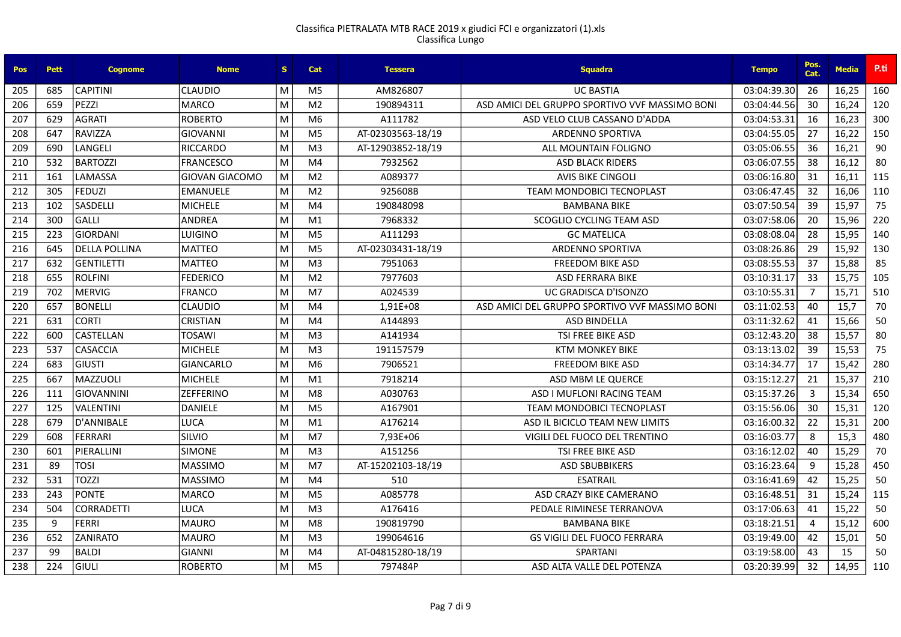| Pos | <b>Pett</b> | <b>Cognome</b>    | <b>Nome</b>           | S. | Cat            | <b>Tessera</b>    | <b>Squadra</b>                                 | <b>Tempo</b> | Pos.<br>Cat.   | <b>Media</b> | P.ti |
|-----|-------------|-------------------|-----------------------|----|----------------|-------------------|------------------------------------------------|--------------|----------------|--------------|------|
| 205 | 685         | <b>CAPITINI</b>   | <b>CLAUDIO</b>        | М  | M <sub>5</sub> | AM826807          | <b>UC BASTIA</b>                               | 03:04:39.30  | 26             | 16,25        | 160  |
| 206 | 659         | PEZZI             | <b>MARCO</b>          | M  | M <sub>2</sub> | 190894311         | ASD AMICI DEL GRUPPO SPORTIVO VVF MASSIMO BONI | 03:04:44.56  | 30             | 16,24        | 120  |
| 207 | 629         | <b>AGRATI</b>     | <b>ROBERTO</b>        | м  | M6             | A111782           | ASD VELO CLUB CASSANO D'ADDA                   | 03:04:53.31  | 16             | 16,23        | 300  |
| 208 | 647         | <b>RAVIZZA</b>    | <b>GIOVANNI</b>       | M  | M <sub>5</sub> | AT-02303563-18/19 | <b>ARDENNO SPORTIVA</b>                        | 03:04:55.05  | 27             | 16,22        | 150  |
| 209 | 690         | LANGELI           | <b>RICCARDO</b>       | M  | M <sub>3</sub> | AT-12903852-18/19 | ALL MOUNTAIN FOLIGNO                           | 03:05:06.55  | 36             | 16,21        | 90   |
| 210 | 532         | <b>BARTOZZI</b>   | <b>FRANCESCO</b>      | M  | M <sub>4</sub> | 7932562           | <b>ASD BLACK RIDERS</b>                        | 03:06:07.55  | 38             | 16,12        | 80   |
| 211 | 161         | LAMASSA           | <b>GIOVAN GIACOMO</b> | М  | M <sub>2</sub> | A089377           | <b>AVIS BIKE CINGOLI</b>                       | 03:06:16.80  | 31             | 16,11        | 115  |
| 212 | 305         | <b>FEDUZI</b>     | <b>EMANUELE</b>       | M  | M <sub>2</sub> | 925608B           | <b>TEAM MONDOBICI TECNOPLAST</b>               | 03:06:47.45  | 32             | 16,06        | 110  |
| 213 | 102         | <b>SASDELLI</b>   | <b>MICHELE</b>        | M  | M <sub>4</sub> | 190848098         | <b>BAMBANA BIKE</b>                            | 03:07:50.54  | 39             | 15,97        | 75   |
| 214 | 300         | <b>GALLI</b>      | <b>ANDREA</b>         | M  | M1             | 7968332           | SCOGLIO CYCLING TEAM ASD                       | 03:07:58.06  | 20             | 15,96        | 220  |
| 215 | 223         | GIORDANI          | LUIGINO               | M  | M <sub>5</sub> | A111293           | <b>GC MATELICA</b>                             | 03:08:08.04  | 28             | 15,95        | 140  |
| 216 | 645         | DELLA POLLINA     | <b>MATTEO</b>         | M  | M <sub>5</sub> | AT-02303431-18/19 | ARDENNO SPORTIVA                               | 03:08:26.86  | 29             | 15,92        | 130  |
| 217 | 632         | <b>GENTILETTI</b> | <b>MATTEO</b>         | M  | M <sub>3</sub> | 7951063           | <b>FREEDOM BIKE ASD</b>                        | 03:08:55.53  | 37             | 15,88        | 85   |
| 218 | 655         | <b>ROLFINI</b>    | <b>FEDERICO</b>       | M  | M <sub>2</sub> | 7977603           | <b>ASD FERRARA BIKE</b>                        | 03:10:31.17  | 33             | 15,75        | 105  |
| 219 | 702         | <b>MERVIG</b>     | <b>FRANCO</b>         | M  | M <sub>7</sub> | A024539           | UC GRADISCA D'ISONZO                           | 03:10:55.31  | $\overline{7}$ | 15,71        | 510  |
| 220 | 657         | <b>BONELLI</b>    | <b>CLAUDIO</b>        | M  | M <sub>4</sub> | 1,91E+08          | ASD AMICI DEL GRUPPO SPORTIVO VVF MASSIMO BONI | 03:11:02.53  | 40             | 15.7         | 70   |
| 221 | 631         | <b>CORTI</b>      | <b>CRISTIAN</b>       | M  | M <sub>4</sub> | A144893           | <b>ASD BINDELLA</b>                            | 03:11:32.62  | 41             | 15,66        | 50   |
| 222 | 600         | <b>CASTELLAN</b>  | <b>TOSAWI</b>         | M  | M <sub>3</sub> | A141934           | <b>TSI FREE BIKE ASD</b>                       | 03:12:43.20  | 38             | 15,57        | 80   |
| 223 | 537         | <b>CASACCIA</b>   | <b>MICHELE</b>        | M  | M <sub>3</sub> | 191157579         | <b>KTM MONKEY BIKE</b>                         | 03:13:13.02  | 39             | 15,53        | 75   |
| 224 | 683         | <b>GIUSTI</b>     | <b>GIANCARLO</b>      | M  | M <sub>6</sub> | 7906521           | <b>FREEDOM BIKE ASD</b>                        | 03:14:34.77  | 17             | 15,42        | 280  |
| 225 | 667         | MAZZUOLI          | <b>MICHELE</b>        | M  | M <sub>1</sub> | 7918214           | ASD MBM LE QUERCE                              | 03:15:12.27  | 21             | 15,37        | 210  |
| 226 | 111         | <b>GIOVANNINI</b> | <b>ZEFFERINO</b>      | M  | M <sub>8</sub> | A030763           | ASD I MUFLONI RACING TEAM                      | 03:15:37.26  | $\overline{3}$ | 15,34        | 650  |
| 227 | 125         | <b>VALENTINI</b>  | DANIELE               | M  | M <sub>5</sub> | A167901           | TEAM MONDOBICI TECNOPLAST                      | 03:15:56.06  | 30             | 15,31        | 120  |
| 228 | 679         | D'ANNIBALE        | <b>LUCA</b>           | M  | M1             | A176214           | ASD IL BICICLO TEAM NEW LIMITS                 | 03:16:00.32  | 22             | 15,31        | 200  |
| 229 | 608         | <b>FERRARI</b>    | SILVIO                | M  | M <sub>7</sub> | 7,93E+06          | VIGILI DEL FUOCO DEL TRENTINO                  | 03:16:03.77  | 8              | 15,3         | 480  |
| 230 | 601         | PIERALLINI        | <b>SIMONE</b>         | M  | M <sub>3</sub> | A151256           | <b>TSI FREE BIKE ASD</b>                       | 03:16:12.02  | 40             | 15,29        | 70   |
| 231 | 89          | <b>TOSI</b>       | <b>MASSIMO</b>        | M  | M <sub>7</sub> | AT-15202103-18/19 | <b>ASD SBUBBIKERS</b>                          | 03:16:23.64  | 9              | 15,28        | 450  |
| 232 | 531         | <b>TOZZI</b>      | <b>MASSIMO</b>        | M  | M <sub>4</sub> | 510               | <b>ESATRAIL</b>                                | 03:16:41.69  | 42             | 15,25        | 50   |
| 233 | 243         | <b>PONTE</b>      | <b>MARCO</b>          | M  | M <sub>5</sub> | A085778           | ASD CRAZY BIKE CAMERANO                        | 03:16:48.51  | 31             | 15,24        | 115  |
| 234 | 504         | <b>CORRADETTI</b> | LUCA                  | M  | M <sub>3</sub> | A176416           | PEDALE RIMINESE TERRANOVA                      | 03:17:06.63  | 41             | 15,22        | 50   |
| 235 | 9           | <b>FERRI</b>      | <b>MAURO</b>          | M  | M <sub>8</sub> | 190819790         | <b>BAMBANA BIKE</b>                            | 03:18:21.51  | $\overline{a}$ | 15,12        | 600  |
| 236 | 652         | <b>ZANIRATO</b>   | <b>MAURO</b>          | M  | M <sub>3</sub> | 199064616         | <b>GS VIGILI DEL FUOCO FERRARA</b>             | 03:19:49.00  | 42             | 15,01        | 50   |
| 237 | 99          | <b>BALDI</b>      | <b>GIANNI</b>         | M  | M4             | AT-04815280-18/19 | <b>SPARTANI</b>                                | 03:19:58.00  | 43             | 15           | 50   |
| 238 | 224         | GIULI             | <b>ROBERTO</b>        | M  | M <sub>5</sub> | 797484P           | ASD ALTA VALLE DEL POTENZA                     | 03:20:39.99  | 32             | 14,95        | 110  |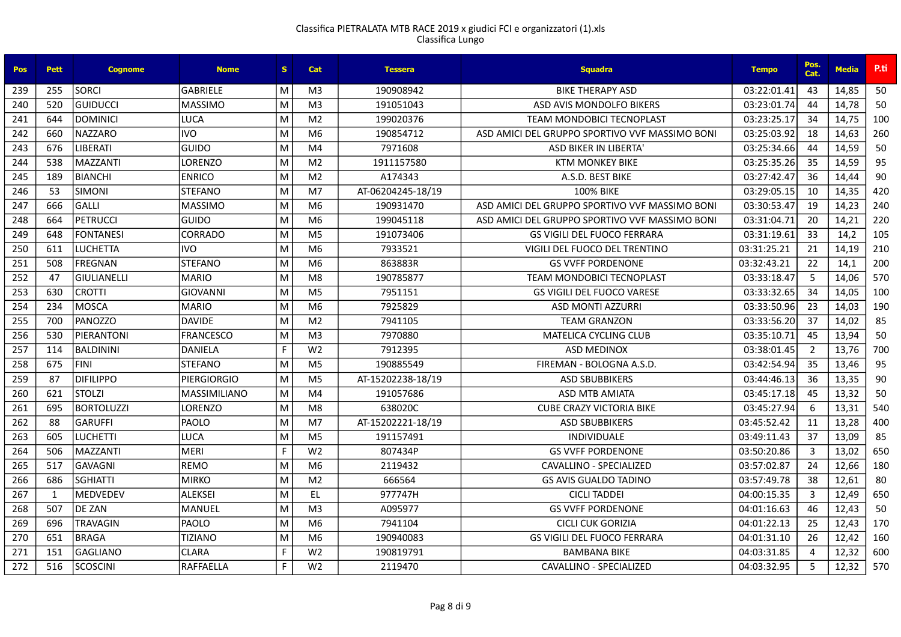| <b>Pos</b> | <b>Pett</b>  | <b>Cognome</b>    | <b>Nome</b>         | S. | Cat            | <b>Tessera</b>    | <b>Squadra</b>                                 | <b>Tempo</b> | Pos.<br>Cat.   | <b>Media</b> | P.ti |
|------------|--------------|-------------------|---------------------|----|----------------|-------------------|------------------------------------------------|--------------|----------------|--------------|------|
| 239        | 255          | <b>SORCI</b>      | <b>GABRIELE</b>     | M  | M <sub>3</sub> | 190908942         | <b>BIKE THERAPY ASD</b>                        | 03:22:01.41  | 43             | 14,85        | 50   |
| 240        | 520          | GUIDUCCI          | <b>MASSIMO</b>      | M  | M <sub>3</sub> | 191051043         | ASD AVIS MONDOLFO BIKERS                       | 03:23:01.74  | 44             | 14,78        | 50   |
| 241        | 644          | <b>DOMINICI</b>   | <b>LUCA</b>         | M  | M <sub>2</sub> | 199020376         | <b>TEAM MONDOBICI TECNOPLAST</b>               | 03:23:25.17  | 34             | 14,75        | 100  |
| 242        | 660          | <b>NAZZARO</b>    | <b>IVO</b>          | M  | M <sub>6</sub> | 190854712         | ASD AMICI DEL GRUPPO SPORTIVO VVF MASSIMO BONI | 03:25:03.92  | 18             | 14,63        | 260  |
| 243        | 676          | LIBERATI          | GUIDO               | M  | M <sub>4</sub> | 7971608           | ASD BIKER IN LIBERTA'                          | 03:25:34.66  | 44             | 14,59        | 50   |
| 244        | 538          | <b>MAZZANTI</b>   | LORENZO             | M  | M <sub>2</sub> | 1911157580        | <b>KTM MONKEY BIKE</b>                         | 03:25:35.26  | 35             | 14,59        | 95   |
| 245        | 189          | BIANCHI           | <b>ENRICO</b>       | M  | M <sub>2</sub> | A174343           | A.S.D. BEST BIKE                               | 03:27:42.47  | 36             | 14,44        | 90   |
| 246        | 53           | <b>SIMONI</b>     | <b>STEFANO</b>      | M  | M <sub>7</sub> | AT-06204245-18/19 | <b>100% BIKE</b>                               | 03:29:05.15  | 10             | 14,35        | 420  |
| 247        | 666          | GALLI             | <b>MASSIMO</b>      | M  | M <sub>6</sub> | 190931470         | ASD AMICI DEL GRUPPO SPORTIVO VVF MASSIMO BONI | 03:30:53.47  | 19             | 14,23        | 240  |
| 248        | 664          | PETRUCCI          | GUIDO               | M  | M <sub>6</sub> | 199045118         | ASD AMICLDEL GRUPPO SPORTIVO VVF MASSIMO BONI  | 03:31:04.71  | 20             | 14,21        | 220  |
| 249        | 648          | <b>FONTANESI</b>  | <b>CORRADO</b>      | M  | M <sub>5</sub> | 191073406         | <b>GS VIGILI DEL FUOCO FERRARA</b>             | 03:31:19.61  | 33             | 14,2         | 105  |
| 250        | 611          | <b>LUCHETTA</b>   | <b>IVO</b>          | M  | M <sub>6</sub> | 7933521           | VIGILI DEL FUOCO DEL TRENTINO                  | 03:31:25.21  | 21             | 14,19        | 210  |
| 251        | 508          | <b>FREGNAN</b>    | STEFANO             | M  | M <sub>6</sub> | 863883R           | <b>GS VVFF PORDENONE</b>                       | 03:32:43.21  | 22             | 14,1         | 200  |
| 252        | 47           | İGIULIANELLI      | <b>MARIO</b>        | M  | M8             | 190785877         | <b>TEAM MONDOBICI TECNOPLAST</b>               | 03:33:18.47  | -5             | 14,06        | 570  |
| 253        | 630          | <b>CROTTI</b>     | <b>GIOVANNI</b>     | M  | M <sub>5</sub> | 7951151           | GS VIGILI DEL FUOCO VARESE                     | 03:33:32.65  | 34             | 14,05        | 100  |
| 254        | 234          | MOSCA             | MARIO               | M  | M <sub>6</sub> | 7925829           | <b>ASD MONTI AZZURRI</b>                       | 03:33:50.96  | 23             | 14,03        | 190  |
| 255        | 700          | PANOZZO           | <b>DAVIDE</b>       | M  | M <sub>2</sub> | 7941105           | <b>TEAM GRANZON</b>                            | 03:33:56.20  | 37             | 14,02        | 85   |
| 256        | 530          | <b>PIERANTONI</b> | <b>FRANCESCO</b>    | M  | M <sub>3</sub> | 7970880           | <b>MATELICA CYCLING CLUB</b>                   | 03:35:10.71  | 45             | 13,94        | 50   |
| 257        | 114          | BALDININI         | <b>DANIELA</b>      | F. | W <sub>2</sub> | 7912395           | <b>ASD MEDINOX</b>                             | 03:38:01.45  | $\overline{2}$ | 13,76        | 700  |
| 258        | 675          | <b>FINI</b>       | <b>STEFANO</b>      | M  | M <sub>5</sub> | 190885549         | FIREMAN - BOLOGNA A.S.D.                       | 03:42:54.94  | 35             | 13,46        | 95   |
| 259        | 87           | <b>DIFILIPPO</b>  | <b>PIERGIORGIO</b>  | M  | M <sub>5</sub> | AT-15202238-18/19 | <b>ASD SBUBBIKERS</b>                          | 03:44:46.13  | 36             | 13,35        | 90   |
| 260        | 621          | <b>STOLZI</b>     | <b>MASSIMILIANO</b> | M  | M <sub>4</sub> | 191057686         | <b>ASD MTB AMIATA</b>                          | 03:45:17.18  | 45             | 13,32        | 50   |
| 261        | 695          | <b>BORTOLUZZI</b> | <b>LORENZO</b>      | M  | M <sub>8</sub> | 638020C           | <b>CUBE CRAZY VICTORIA BIKE</b>                | 03:45:27.94  | 6              | 13,31        | 540  |
| 262        | 88           | GARUFFI           | PAOLO               | M  | M7             | AT-15202221-18/19 | <b>ASD SBUBBIKERS</b>                          | 03:45:52.42  | 11             | 13,28        | 400  |
| 263        | 605          | <b>LUCHETTI</b>   | <b>LUCA</b>         | M  | M <sub>5</sub> | 191157491         | <b>INDIVIDUALE</b>                             | 03:49:11.43  | 37             | 13,09        | 85   |
| 264        | 506          | MAZZANTI          | MERI                | F. | W <sub>2</sub> | 807434P           | <b>GS VVFF PORDENONE</b>                       | 03:50:20.86  | 3              | 13,02        | 650  |
| 265        | 517          | GAVAGNI           | <b>REMO</b>         | M  | M <sub>6</sub> | 2119432           | CAVALLINO - SPECIALIZED                        | 03:57:02.87  | 24             | 12,66        | 180  |
| 266        | 686          | <b>SGHIATTI</b>   | MIRKO               | M  | M <sub>2</sub> | 666564            | <b>GS AVIS GUALDO TADINO</b>                   | 03:57:49.78  | 38             | 12,61        | 80   |
| 267        | $\mathbf{1}$ | MEDVEDEV          | ALEKSEI             | M  | EL.            | 977747H           | <b>CICLI TADDEI</b>                            | 04:00:15.35  | 3              | 12,49        | 650  |
| 268        | 507          | <b>DE ZAN</b>     | MANUEL              | M  | M <sub>3</sub> | A095977           | <b>GS VVFF PORDENONE</b>                       | 04:01:16.63  | 46             | 12,43        | 50   |
| 269        | 696          | <b>TRAVAGIN</b>   | PAOLO               | M  | M <sub>6</sub> | 7941104           | CICLI CUK GORIZIA                              | 04:01:22.13  | 25             | 12,43        | 170  |
| 270        | 651          | BRAGA             | <b>TIZIANO</b>      | M  | M <sub>6</sub> | 190940083         | <b>GS VIGILI DEL FUOCO FERRARA</b>             | 04:01:31.10  | 26             | 12,42        | 160  |
| 271        | 151          | <b>GAGLIANO</b>   | <b>CLARA</b>        | F. | W <sub>2</sub> | 190819791         | <b>BAMBANA BIKE</b>                            | 04:03:31.85  | 4              | 12,32        | 600  |
| 272        | 516          | SCOSCINI          | <b>RAFFAELLA</b>    | F. | W <sub>2</sub> | 2119470           | CAVALLINO - SPECIALIZED                        | 04:03:32.95  | 5              | 12,32        | 570  |